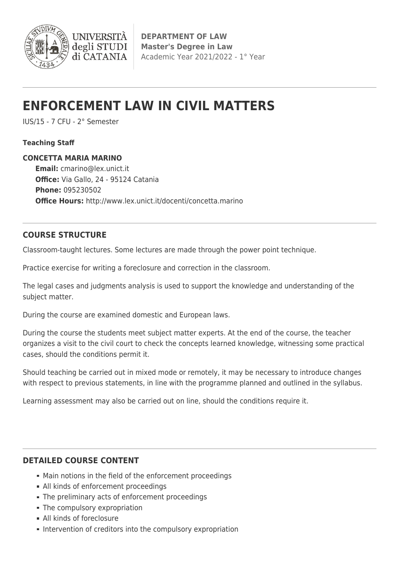

# **ENFORCEMENT LAW IN CIVIL MATTERS**

IUS/15 - 7 CFU - 2° Semester

### **Teaching Staff**

### **CONCETTA MARIA MARINO**

**Email:** [cmarino@lex.unict.it](mailto:cmarino@lex.unict.it) **Office:** Via Gallo, 24 - 95124 Catania **Phone:** 095230502 **Office Hours:** http://www.lex.unict.it/docenti/concetta.marino

## **COURSE STRUCTURE**

Classroom-taught lectures. Some lectures are made through the power point technique.

Practice exercise for writing a foreclosure and correction in the classroom.

The legal cases and judgments analysis is used to support the knowledge and understanding of the subject matter.

During the course are examined domestic and European laws.

During the course the students meet subject matter experts. At the end of the course, the teacher organizes a visit to the civil court to check the concepts learned knowledge, witnessing some practical cases, should the conditions permit it.

Should teaching be carried out in mixed mode or remotely, it may be necessary to introduce changes with respect to previous statements, in line with the programme planned and outlined in the syllabus.

Learning assessment may also be carried out on line, should the conditions require it.

## **DETAILED COURSE CONTENT**

- Main notions in the field of the enforcement proceedings
- All kinds of enforcement proceedings
- The preliminary acts of enforcement proceedings
- The compulsory expropriation
- All kinds of foreclosure
- **Intervention of creditors into the compulsory expropriation**